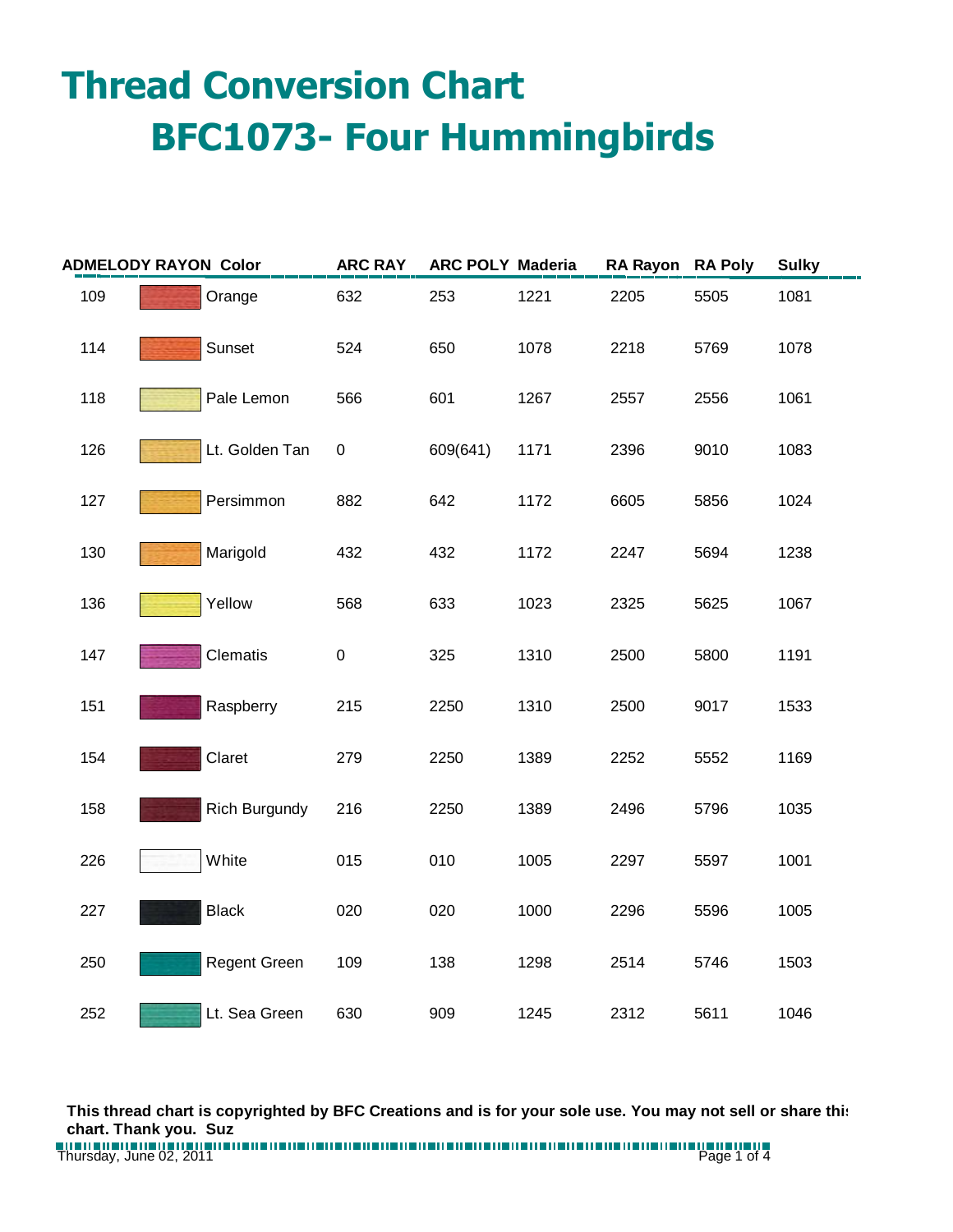## **Thread Conversion Chart BFC1073- Four Hummingbirds**

| <b>ADMELODY RAYON Color</b> |                      | <b>ARC RAY</b> | <b>ARC POLY Maderia</b> |      | RA Rayon RA Poly |      | <b>Sulky</b> |
|-----------------------------|----------------------|----------------|-------------------------|------|------------------|------|--------------|
| 109                         | Orange               | 632            | 253                     | 1221 | 2205             | 5505 | 1081         |
| 114                         | Sunset               | 524            | 650                     | 1078 | 2218             | 5769 | 1078         |
| 118                         | Pale Lemon           | 566            | 601                     | 1267 | 2557             | 2556 | 1061         |
| 126                         | Lt. Golden Tan       | $\pmb{0}$      | 609(641)                | 1171 | 2396             | 9010 | 1083         |
| 127                         | Persimmon            | 882            | 642                     | 1172 | 6605             | 5856 | 1024         |
| 130                         | Marigold             | 432            | 432                     | 1172 | 2247             | 5694 | 1238         |
| 136                         | Yellow               | 568            | 633                     | 1023 | 2325             | 5625 | 1067         |
| 147                         | Clematis             | $\pmb{0}$      | 325                     | 1310 | 2500             | 5800 | 1191         |
| 151                         | Raspberry            | 215            | 2250                    | 1310 | 2500             | 9017 | 1533         |
| 154                         | Claret               | 279            | 2250                    | 1389 | 2252             | 5552 | 1169         |
| 158                         | <b>Rich Burgundy</b> | 216            | 2250                    | 1389 | 2496             | 5796 | 1035         |
| 226                         | White                | 015            | 010                     | 1005 | 2297             | 5597 | 1001         |
| 227                         | <b>Black</b>         | 020            | 020                     | 1000 | 2296             | 5596 | 1005         |
| 250                         | <b>Regent Green</b>  | 109            | 138                     | 1298 | 2514             | 5746 | 1503         |
| 252                         | Lt. Sea Green        | 630            | 909                     | 1245 | 2312             | 5611 | 1046         |

**This thread chart is copyrighted by BFC Creations and is for your sole use. You may not sell or share this chart. Thank you. Suz**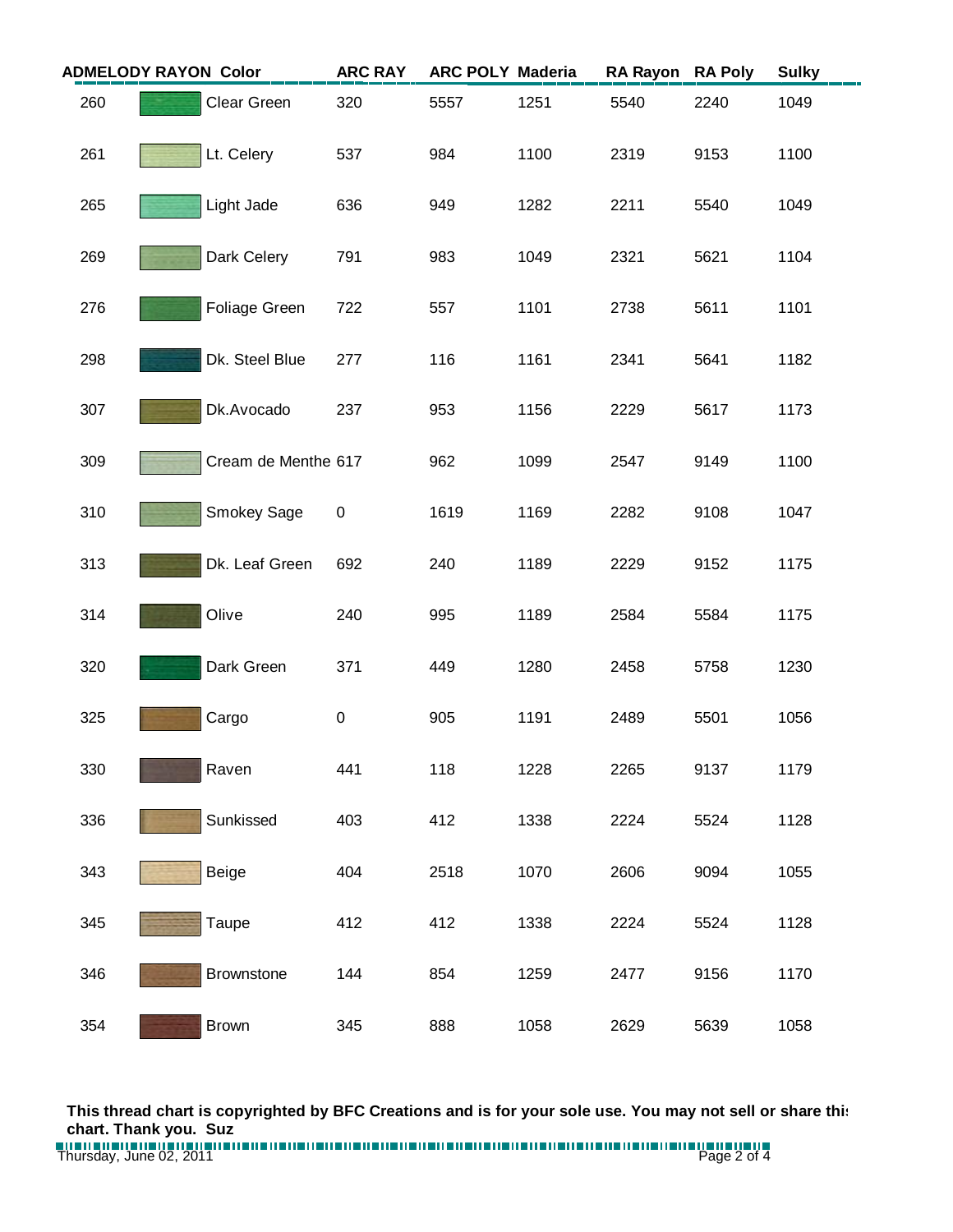| <b>ADMELODY RAYON Color</b> |                     | <b>ARC RAY</b> |      | <b>ARC POLY Maderia</b> | <b>RA Rayon</b> | <b>RA Poly</b> | <b>Sulky</b> |
|-----------------------------|---------------------|----------------|------|-------------------------|-----------------|----------------|--------------|
| 260                         | Clear Green         | 320            | 5557 | 1251                    | 5540            | 2240           | 1049         |
| 261                         | Lt. Celery          | 537            | 984  | 1100                    | 2319            | 9153           | 1100         |
| 265                         | Light Jade          | 636            | 949  | 1282                    | 2211            | 5540           | 1049         |
| 269                         | Dark Celery         | 791            | 983  | 1049                    | 2321            | 5621           | 1104         |
| 276                         | Foliage Green       | 722            | 557  | 1101                    | 2738            | 5611           | 1101         |
| 298                         | Dk. Steel Blue      | 277            | 116  | 1161                    | 2341            | 5641           | 1182         |
| 307                         | Dk.Avocado          | 237            | 953  | 1156                    | 2229            | 5617           | 1173         |
| 309                         | Cream de Menthe 617 |                | 962  | 1099                    | 2547            | 9149           | 1100         |
| 310                         | Smokey Sage         | $\pmb{0}$      | 1619 | 1169                    | 2282            | 9108           | 1047         |
| 313                         | Dk. Leaf Green      | 692            | 240  | 1189                    | 2229            | 9152           | 1175         |
| 314                         | Olive               | 240            | 995  | 1189                    | 2584            | 5584           | 1175         |
| 320                         | Dark Green          | 371            | 449  | 1280                    | 2458            | 5758           | 1230         |
| 325                         | Cargo               | $\pmb{0}$      | 905  | 1191                    | 2489            | 5501           | 1056         |
| 330                         | Raven               | 441            | 118  | 1228                    | 2265            | 9137           | 1179         |
| 336                         | Sunkissed           | 403            | 412  | 1338                    | 2224            | 5524           | 1128         |
| 343                         | Beige               | 404            | 2518 | 1070                    | 2606            | 9094           | 1055         |
| 345                         | Taupe               | 412            | 412  | 1338                    | 2224            | 5524           | 1128         |
| 346                         | Brownstone          | 144            | 854  | 1259                    | 2477            | 9156           | 1170         |
| 354                         | <b>Brown</b>        | 345            | 888  | 1058                    | 2629            | 5639           | 1058         |

**This thread chart is copyrighted by BFC Creations and is for your sole use. You may not sell or share this chart. Thank you. Suz**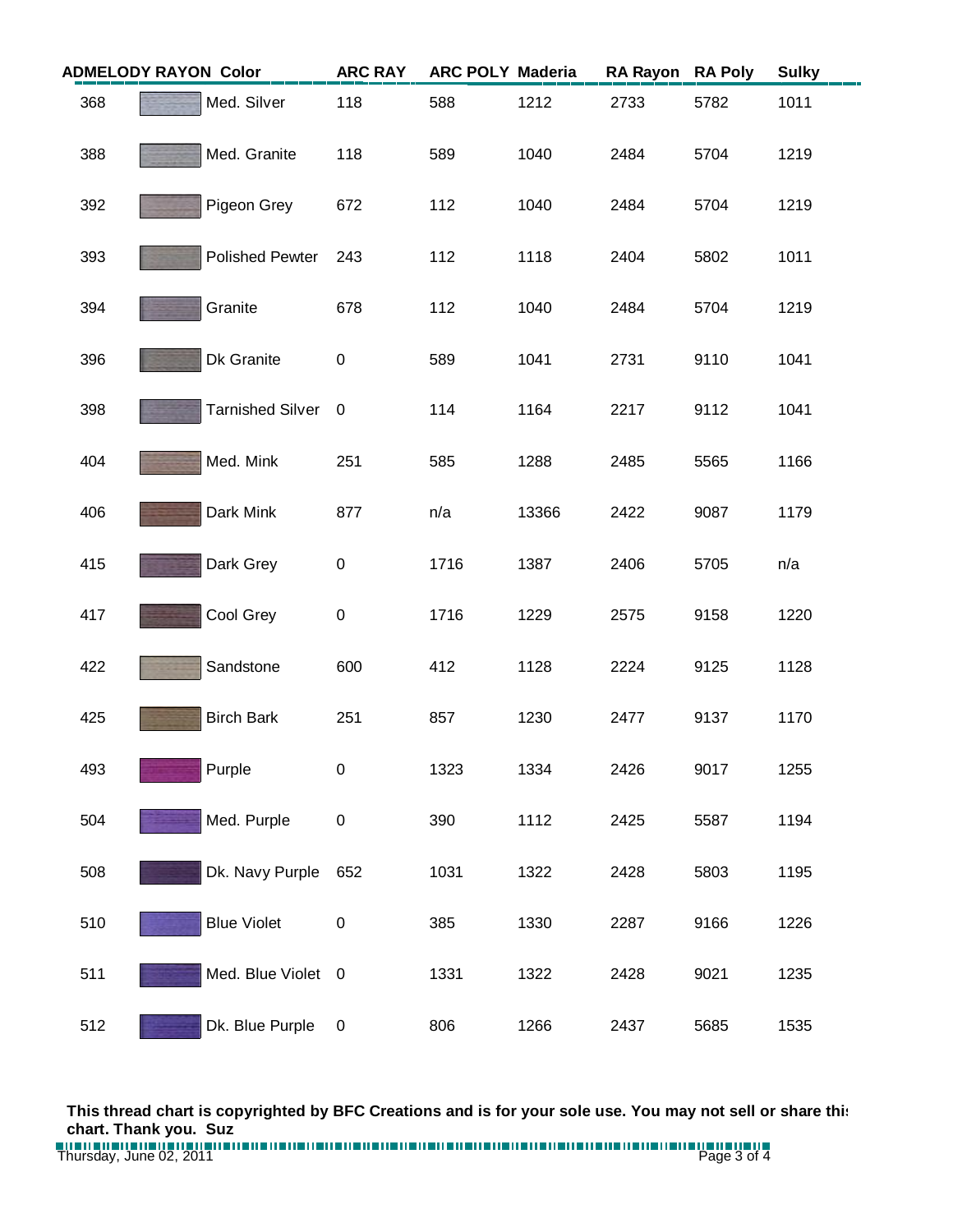| <b>ADMELODY RAYON Color</b> |                         | <b>ARC RAY</b> | <b>ARC POLY Maderia</b> |       | <b>RA Rayon</b> | <b>RA Poly</b> | <b>Sulky</b> |
|-----------------------------|-------------------------|----------------|-------------------------|-------|-----------------|----------------|--------------|
| 368                         | Med. Silver             | 118            | 588                     | 1212  | 2733            | 5782           | 1011         |
| 388                         | Med. Granite            | 118            | 589                     | 1040  | 2484            | 5704           | 1219         |
| 392                         | Pigeon Grey             | 672            | 112                     | 1040  | 2484            | 5704           | 1219         |
| 393                         | <b>Polished Pewter</b>  | 243            | 112                     | 1118  | 2404            | 5802           | 1011         |
| 394                         | Granite                 | 678            | 112                     | 1040  | 2484            | 5704           | 1219         |
| 396                         | Dk Granite              | $\pmb{0}$      | 589                     | 1041  | 2731            | 9110           | 1041         |
| 398                         | <b>Tarnished Silver</b> | $\overline{0}$ | 114                     | 1164  | 2217            | 9112           | 1041         |
| 404                         | Med. Mink               | 251            | 585                     | 1288  | 2485            | 5565           | 1166         |
| 406                         | Dark Mink               | 877            | n/a                     | 13366 | 2422            | 9087           | 1179         |
| 415                         | Dark Grey               | $\pmb{0}$      | 1716                    | 1387  | 2406            | 5705           | n/a          |
| 417                         | Cool Grey               | $\pmb{0}$      | 1716                    | 1229  | 2575            | 9158           | 1220         |
| 422                         | Sandstone               | 600            | 412                     | 1128  | 2224            | 9125           | 1128         |
| 425                         | <b>Birch Bark</b>       | 251            | 857                     | 1230  | 2477            | 9137           | 1170         |
| 493                         | Purple                  | 0              | 1323                    | 1334  | 2426            | 9017           | 1255         |
| 504                         | Med. Purple             | $\pmb{0}$      | 390                     | 1112  | 2425            | 5587           | 1194         |
| 508                         | Dk. Navy Purple         | 652            | 1031                    | 1322  | 2428            | 5803           | 1195         |
| 510                         | <b>Blue Violet</b>      | $\pmb{0}$      | 385                     | 1330  | 2287            | 9166           | 1226         |
| 511                         | Med. Blue Violet 0      |                | 1331                    | 1322  | 2428            | 9021           | 1235         |
| 512                         | Dk. Blue Purple         | $\pmb{0}$      | 806                     | 1266  | 2437            | 5685           | 1535         |

**This thread chart is copyrighted by BFC Creations and is for your sole use. You may not sell or share this chart. Thank you. Suz**